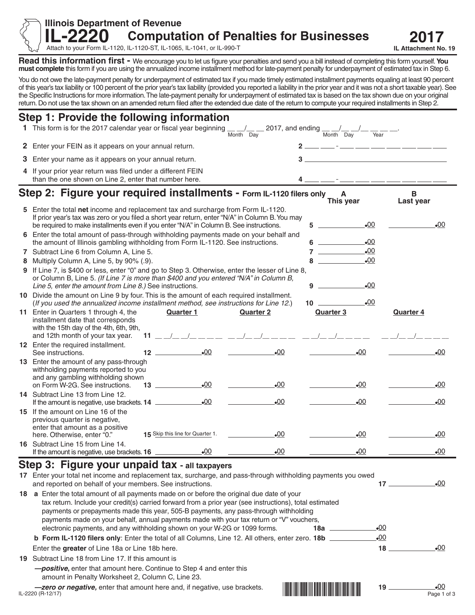**IL-2220 2017 Computation of Penalties for Businesses** 

Attach to your Form IL-1120, IL-1120-ST, IL-1065, IL-1041, or IL-990-T

**Illinois Department of Revenue** 

**Read this information first -** We encourage you to let us figure your penalties and send you a bill instead of completing this form yourself. **You must complete** this form if you are using the annualized income installment method for late-payment penalty for underpayment of estimated tax in Step 6.

You do not owe the late-payment penalty for underpayment of estimated tax if you made timely estimated installment payments equaling at least 90 percent of this year's tax liability or 100 percent of the prior year's tax liability (provided you reported a liability in the prior year and it was not a short taxable year). See the Specific Instructions for more information. The late-payment penalty for underpayment of estimated tax is based on the tax shown due on your original return. Do not use the tax shown on an amended return filed after the extended due date of the return to compute your required installments in Step 2.

| Step 1: Provide the following information                                                                                                                                                                                                                                                                                                                                                                                                                                                                           |                                                                                                                                                                                                                                                                                                                                                                                                                                                                                                                                                                    |                                                                                                                  |                                        |                                             |  |  |
|---------------------------------------------------------------------------------------------------------------------------------------------------------------------------------------------------------------------------------------------------------------------------------------------------------------------------------------------------------------------------------------------------------------------------------------------------------------------------------------------------------------------|--------------------------------------------------------------------------------------------------------------------------------------------------------------------------------------------------------------------------------------------------------------------------------------------------------------------------------------------------------------------------------------------------------------------------------------------------------------------------------------------------------------------------------------------------------------------|------------------------------------------------------------------------------------------------------------------|----------------------------------------|---------------------------------------------|--|--|
| 1 This form is for the 2017 calendar year or fiscal year beginning                                                                                                                                                                                                                                                                                                                                                                                                                                                  |                                                                                                                                                                                                                                                                                                                                                                                                                                                                                                                                                                    | $\frac{1}{\text{Month}}$ $\frac{1}{\text{Day}}$ 2017, and ending $\frac{1}{\text{Month}}$ $\frac{1}{\text{Day}}$ |                                        |                                             |  |  |
| 2 Enter your FEIN as it appears on your annual return.                                                                                                                                                                                                                                                                                                                                                                                                                                                              |                                                                                                                                                                                                                                                                                                                                                                                                                                                                                                                                                                    |                                                                                                                  | $2$ __ __ _ _ __ __ __ __ __ __ __     |                                             |  |  |
| 3 Enter your name as it appears on your annual return.                                                                                                                                                                                                                                                                                                                                                                                                                                                              |                                                                                                                                                                                                                                                                                                                                                                                                                                                                                                                                                                    |                                                                                                                  |                                        |                                             |  |  |
| 4 If your prior year return was filed under a different FEIN<br>than the one shown on Line 2, enter that number here.                                                                                                                                                                                                                                                                                                                                                                                               |                                                                                                                                                                                                                                                                                                                                                                                                                                                                                                                                                                    |                                                                                                                  | $4$ __ _ _ _ _ _ _ _ _ _ _ _ _ _ _ _ _ |                                             |  |  |
| Step 2: Figure your required installments - Form IL-1120 filers only                                                                                                                                                                                                                                                                                                                                                                                                                                                |                                                                                                                                                                                                                                                                                                                                                                                                                                                                                                                                                                    |                                                                                                                  | A<br>This year                         | в<br>Last year                              |  |  |
| 5 Enter the total net income and replacement tax and surcharge from Form IL-1120.<br>If prior year's tax was zero or you filed a short year return, enter "N/A" in Column B. You may<br>be required to make installments even if you enter "N/A" in Column B. See instructions.                                                                                                                                                                                                                                     |                                                                                                                                                                                                                                                                                                                                                                                                                                                                                                                                                                    | 5                                                                                                                | $-00$                                  | $-00$                                       |  |  |
| 6 Enter the total amount of pass-through withholding payments made on your behalf and<br>the amount of Illinois gambling withholding from Form IL-1120. See instructions.                                                                                                                                                                                                                                                                                                                                           |                                                                                                                                                                                                                                                                                                                                                                                                                                                                                                                                                                    |                                                                                                                  | $6 \qquad \qquad$<br>$\bullet$ 00      |                                             |  |  |
| 7 Subtract Line 6 from Column A, Line 5.                                                                                                                                                                                                                                                                                                                                                                                                                                                                            |                                                                                                                                                                                                                                                                                                                                                                                                                                                                                                                                                                    |                                                                                                                  | $-00$                                  |                                             |  |  |
| 8 Multiply Column A, Line 5, by 90% (.9).                                                                                                                                                                                                                                                                                                                                                                                                                                                                           |                                                                                                                                                                                                                                                                                                                                                                                                                                                                                                                                                                    |                                                                                                                  | $\mathbf{8}$<br>$-00$                  |                                             |  |  |
| 9 If Line 7, is \$400 or less, enter "0" and go to Step 3. Otherwise, enter the lesser of Line 8,<br>or Column B, Line 5. (If Line 7 is more than \$400 and you entered "N/A" in Column B,<br>Line 5, enter the amount from Line 8.) See instructions.                                                                                                                                                                                                                                                              |                                                                                                                                                                                                                                                                                                                                                                                                                                                                                                                                                                    | 9                                                                                                                | $\bullet$ 00                           |                                             |  |  |
| 10 Divide the amount on Line 9 by four. This is the amount of each required installment.<br>(If you used the annualized income installment method, see instructions for Line 12.)                                                                                                                                                                                                                                                                                                                                   |                                                                                                                                                                                                                                                                                                                                                                                                                                                                                                                                                                    |                                                                                                                  | $10$ $\qquad$<br>$\bullet$ 00          |                                             |  |  |
| 11 Enter in Quarters 1 through 4, the<br>installment date that corresponds<br>with the 15th day of the 4th, 6th, 9th,<br>and 12th month of your tax year.                                                                                                                                                                                                                                                                                                                                                           | <b>Quarter 1</b>                                                                                                                                                                                                                                                                                                                                                                                                                                                                                                                                                   | <b>Quarter 2</b>                                                                                                 | <b>Quarter 3</b>                       | <b>Quarter 4</b>                            |  |  |
| 12 Enter the required installment.<br>See instructions.                                                                                                                                                                                                                                                                                                                                                                                                                                                             | $\bullet$ 00<br>$\begin{array}{c} \n \text{12} \quad \text{---} \quad \text{---} \quad \text{---} \quad \text{---} \quad \text{---} \quad \text{---} \quad \text{---} \quad \text{---} \quad \text{---} \quad \text{---} \quad \text{---} \quad \text{---} \quad \text{---} \quad \text{---} \quad \text{---} \quad \text{---} \quad \text{---} \quad \text{---} \quad \text{---} \quad \text{---} \quad \text{---} \quad \text{---} \quad \text{---} \quad \text{---} \quad \text{---} \quad \text{---} \quad \text{---} \quad \text{---} \quad \text{---} \quad$ | $-00$                                                                                                            | $-00$                                  | $-00$                                       |  |  |
| 13 Enter the amount of any pass-through<br>withholding payments reported to you<br>and any gambling withholding shown<br>on Form W-2G. See instructions.                                                                                                                                                                                                                                                                                                                                                            | $\bullet$ 00                                                                                                                                                                                                                                                                                                                                                                                                                                                                                                                                                       | $-00$                                                                                                            | $-00$                                  | $\bullet$ 00                                |  |  |
| 14 Subtract Line 13 from Line 12.<br>If the amount is negative, use brackets. 14 _______________                                                                                                                                                                                                                                                                                                                                                                                                                    | $-00$                                                                                                                                                                                                                                                                                                                                                                                                                                                                                                                                                              | $-00$                                                                                                            | $-00$                                  | $-00$                                       |  |  |
| 15 If the amount on Line 16 of the<br>previous quarter is negative,                                                                                                                                                                                                                                                                                                                                                                                                                                                 |                                                                                                                                                                                                                                                                                                                                                                                                                                                                                                                                                                    |                                                                                                                  |                                        |                                             |  |  |
| enter that amount as a positive<br>here. Otherwise, enter "0."                                                                                                                                                                                                                                                                                                                                                                                                                                                      | 15 Skip this line for Quarter 1.                                                                                                                                                                                                                                                                                                                                                                                                                                                                                                                                   | $-00$                                                                                                            | $-00$                                  | $\bullet$ 00                                |  |  |
| 16 Subtract Line 15 from Line 14.                                                                                                                                                                                                                                                                                                                                                                                                                                                                                   |                                                                                                                                                                                                                                                                                                                                                                                                                                                                                                                                                                    | $-00$                                                                                                            | $-00$                                  | $\bullet$ 00                                |  |  |
| Step 3: Figure your unpaid tax - all taxpayers                                                                                                                                                                                                                                                                                                                                                                                                                                                                      |                                                                                                                                                                                                                                                                                                                                                                                                                                                                                                                                                                    |                                                                                                                  |                                        |                                             |  |  |
| 17 Enter your total net income and replacement tax, surcharge, and pass-through withholding payments you owed                                                                                                                                                                                                                                                                                                                                                                                                       |                                                                                                                                                                                                                                                                                                                                                                                                                                                                                                                                                                    |                                                                                                                  |                                        |                                             |  |  |
| and reported on behalf of your members. See instructions.                                                                                                                                                                                                                                                                                                                                                                                                                                                           |                                                                                                                                                                                                                                                                                                                                                                                                                                                                                                                                                                    |                                                                                                                  |                                        | $\bullet$ 00<br>$17 \quad \overline{\quad}$ |  |  |
| 18 a Enter the total amount of all payments made on or before the original due date of your<br>tax return. Include your credit(s) carried forward from a prior year (see instructions), total estimated<br>payments or prepayments made this year, 505-B payments, any pass-through withholding<br>payments made on your behalf, annual payments made with your tax return or "V" vouchers,<br>$\bullet$ 00<br>electronic payments, and any withholding shown on your W-2G or 1099 forms.<br>18a <u>___________</u> |                                                                                                                                                                                                                                                                                                                                                                                                                                                                                                                                                                    |                                                                                                                  |                                        |                                             |  |  |
| <b>b Form IL-1120 filers only:</b> Enter the total of all Columns, Line 12. All others, enter zero. 18b _______                                                                                                                                                                                                                                                                                                                                                                                                     |                                                                                                                                                                                                                                                                                                                                                                                                                                                                                                                                                                    |                                                                                                                  | $-00$                                  |                                             |  |  |
| Enter the greater of Line 18a or Line 18b here.                                                                                                                                                                                                                                                                                                                                                                                                                                                                     |                                                                                                                                                                                                                                                                                                                                                                                                                                                                                                                                                                    |                                                                                                                  | $18-$                                  | $\bullet$ 00                                |  |  |
| 19 Subtract Line 18 from Line 17. If this amount is                                                                                                                                                                                                                                                                                                                                                                                                                                                                 |                                                                                                                                                                                                                                                                                                                                                                                                                                                                                                                                                                    |                                                                                                                  |                                        |                                             |  |  |

\*173420001\*

 *—positive***,** enter that amount here. Continue to Step 4 and enter this amount in Penalty Worksheet 2, Column C, Line 23.

IL-2220 (R-12/17) Page 1 of 3 *—zero or negative,* **enter that amount here and, if negative, use brackets. [<br>
IL-2220 (R-12/17) Page 1 of 3** 

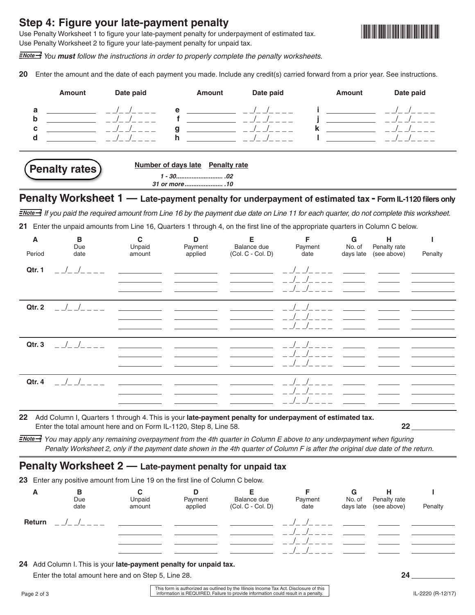## **Step 4: Figure your late-payment penalty**

Use Penalty Worksheet 1 to figure your late-payment penalty for underpayment of estimated tax. Use Penalty Worksheet 2 to figure your late-payment penalty for unpaid tax.



 *You must follow the instructions in order to properly complete the penalty worksheets.*

**20** Enter the amount and the date of each payment you made*.* Include any credit(s) carried forward from a prior year. See instructions.



**21** Enter the unpaid amounts from Line 16, Quarters 1 through 4, on the first line of the appropriate quarters in Column C below.

| A<br>Period | B<br>Due<br>date | $\mathbf c$<br>Unpaid | D<br>Payment<br>applied | Е<br>Balance due    | F<br>Payment<br>date | ${\bf G}$<br>No. of<br>days late | н<br>Penalty rate<br>(see above) |         |
|-------------|------------------|-----------------------|-------------------------|---------------------|----------------------|----------------------------------|----------------------------------|---------|
|             |                  | amount                |                         | $(Col. C - Col. D)$ |                      |                                  |                                  | Penalty |
| Qtr. 1      |                  |                       |                         |                     |                      |                                  |                                  |         |
| Qtr. 2      | $\frac{1}{2}$    |                       |                         |                     |                      |                                  |                                  |         |
| Qtr. 3      | $\frac{1}{2}$    |                       |                         |                     |                      |                                  |                                  |         |
| Qtr. 4      |                  |                       |                         |                     |                      |                                  |                                  |         |

**22** Add Column I, Quarters 1 through 4. This is your **late-payment penalty for underpayment of estimated tax.** Enter the total amount here and on Form IL-1120, Step 8, Line 58. **22** 

*You may apply any remaining overpayment from the 4th quarter in Column E above to any underpayment when figuring Penalty Worksheet 2, only if the payment date shown in the 4th quarter of Column F is after the original due date of the return.*

## **Penalty Worksheet 2 — Late-payment penalty for unpaid tax**

**23** Enter any positive amount from Line 19 on the first line of Column C below.

| A      | в<br>Due<br>date | ັ<br>Unpaid<br>amount | D<br>Payment<br>applied | Balance due<br>$(Col.C - Col.D)$ | Payment<br>date | G<br>No. of | Penalty rate<br>days late (see above) | Penalty |
|--------|------------------|-----------------------|-------------------------|----------------------------------|-----------------|-------------|---------------------------------------|---------|
| Return |                  |                       |                         |                                  |                 |             |                                       |         |

**24** Add Column I. This is your **late-payment penalty for unpaid tax.** 

Enter the total amount here and on Step 5, Line 28. **24**

Page 2 of 3 **IL-2220** (R-12/17) **information is REQUIRED.** Failure to provide information could result in a penalty. This form is authorized as outlined by the Illinois Income Tax Act. Disclosure of this